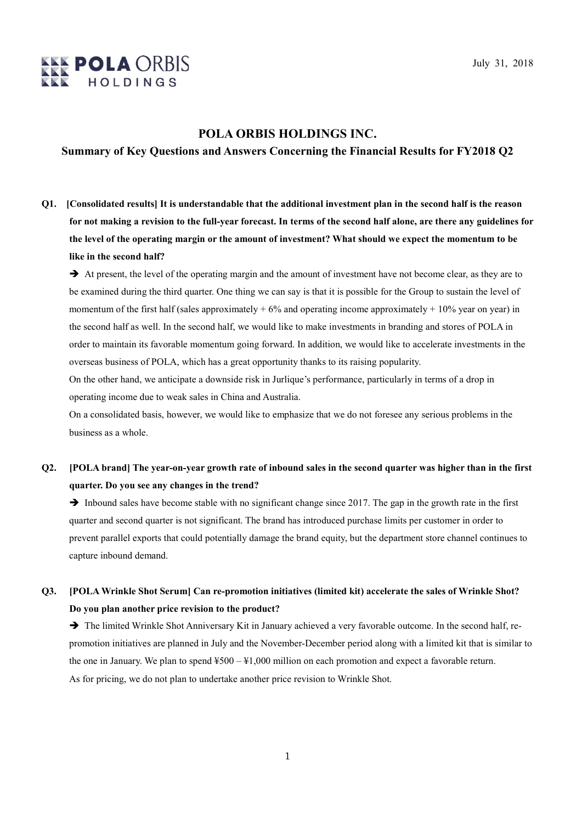

### POLA ORBIS HOLDINGS INC.

### Summary of Key Questions and Answers Concerning the Financial Results for FY2018 Q2

Q1. [Consolidated results] It is understandable that the additional investment plan in the second half is the reason for not making a revision to the full-year forecast. In terms of the second half alone, are there any guidelines for the level of the operating margin or the amount of investment? What should we expect the momentum to be like in the second half?

 $\rightarrow$  At present, the level of the operating margin and the amount of investment have not become clear, as they are to be examined during the third quarter. One thing we can say is that it is possible for the Group to sustain the level of momentum of the first half (sales approximately  $+ 6\%$  and operating income approximately  $+ 10\%$  year on year) in the second half as well. In the second half, we would like to make investments in branding and stores of POLA in order to maintain its favorable momentum going forward. In addition, we would like to accelerate investments in the overseas business of POLA, which has a great opportunity thanks to its raising popularity.

On the other hand, we anticipate a downside risk in Jurlique's performance, particularly in terms of a drop in operating income due to weak sales in China and Australia.

On a consolidated basis, however, we would like to emphasize that we do not foresee any serious problems in the business as a whole.

## Q2. [POLA brand] The year-on-year growth rate of inbound sales in the second quarter was higher than in the first quarter. Do you see any changes in the trend?

 $\rightarrow$  Inbound sales have become stable with no significant change since 2017. The gap in the growth rate in the first quarter and second quarter is not significant. The brand has introduced purchase limits per customer in order to prevent parallel exports that could potentially damage the brand equity, but the department store channel continues to capture inbound demand.

## Q3. [POLA Wrinkle Shot Serum] Can re-promotion initiatives (limited kit) accelerate the sales of Wrinkle Shot? Do you plan another price revision to the product?

 $\rightarrow$  The limited Wrinkle Shot Anniversary Kit in January achieved a very favorable outcome. In the second half, repromotion initiatives are planned in July and the November-December period along with a limited kit that is similar to the one in January. We plan to spend ¥500 – ¥1,000 million on each promotion and expect a favorable return. As for pricing, we do not plan to undertake another price revision to Wrinkle Shot.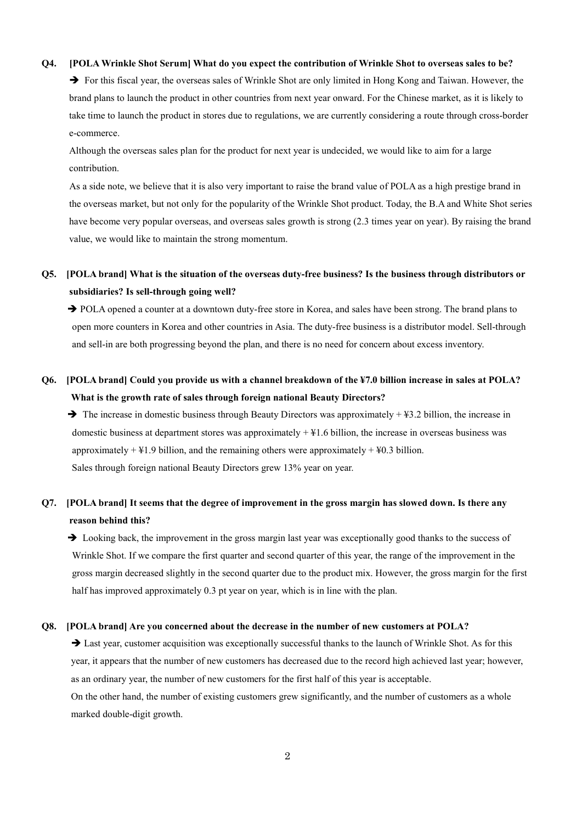#### Q4. [POLA Wrinkle Shot Serum] What do you expect the contribution of Wrinkle Shot to overseas sales to be?

 $\rightarrow$  For this fiscal year, the overseas sales of Wrinkle Shot are only limited in Hong Kong and Taiwan. However, the brand plans to launch the product in other countries from next year onward. For the Chinese market, as it is likely to take time to launch the product in stores due to regulations, we are currently considering a route through cross-border e-commerce.

Although the overseas sales plan for the product for next year is undecided, we would like to aim for a large contribution.

As a side note, we believe that it is also very important to raise the brand value of POLA as a high prestige brand in the overseas market, but not only for the popularity of the Wrinkle Shot product. Today, the B.A and White Shot series have become very popular overseas, and overseas sales growth is strong (2.3 times year on year). By raising the brand value, we would like to maintain the strong momentum.

## Q5. [POLA brand] What is the situation of the overseas duty-free business? Is the business through distributors or subsidiaries? Is sell-through going well?

→ POLA opened a counter at a downtown duty-free store in Korea, and sales have been strong. The brand plans to open more counters in Korea and other countries in Asia. The duty-free business is a distributor model. Sell-through and sell-in are both progressing beyond the plan, and there is no need for concern about excess inventory.

## Q6. [POLA brand] Could you provide us with a channel breakdown of the ¥7.0 billion increase in sales at POLA? What is the growth rate of sales through foreign national Beauty Directors?

 $\rightarrow$  The increase in domestic business through Beauty Directors was approximately + \fta 3.2 billion, the increase in domestic business at department stores was approximately + ¥1.6 billion, the increase in overseas business was approximately  $+41.9$  billion, and the remaining others were approximately  $+40.3$  billion. Sales through foreign national Beauty Directors grew 13% year on year.

### Q7. [POLA brand] It seems that the degree of improvement in the gross margin has slowed down. Is there any reason behind this?

 $\rightarrow$  Looking back, the improvement in the gross margin last year was exceptionally good thanks to the success of Wrinkle Shot. If we compare the first quarter and second quarter of this year, the range of the improvement in the gross margin decreased slightly in the second quarter due to the product mix. However, the gross margin for the first half has improved approximately 0.3 pt year on year, which is in line with the plan.

#### Q8. [POLA brand] Are you concerned about the decrease in the number of new customers at POLA?

 Last year, customer acquisition was exceptionally successful thanks to the launch of Wrinkle Shot. As for this year, it appears that the number of new customers has decreased due to the record high achieved last year; however, as an ordinary year, the number of new customers for the first half of this year is acceptable. On the other hand, the number of existing customers grew significantly, and the number of customers as a whole marked double-digit growth.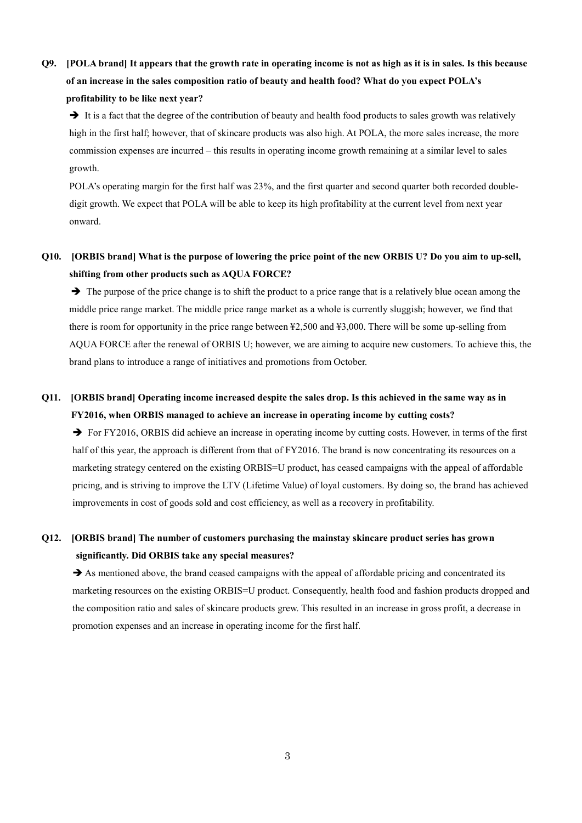Q9. [POLA brand] It appears that the growth rate in operating income is not as high as it is in sales. Is this because of an increase in the sales composition ratio of beauty and health food? What do you expect POLA's profitability to be like next year?

 $\rightarrow$  It is a fact that the degree of the contribution of beauty and health food products to sales growth was relatively high in the first half; however, that of skincare products was also high. At POLA, the more sales increase, the more commission expenses are incurred – this results in operating income growth remaining at a similar level to sales growth.

POLA's operating margin for the first half was 23%, and the first quarter and second quarter both recorded doubledigit growth. We expect that POLA will be able to keep its high profitability at the current level from next year onward.

Q10. [ORBIS brand] What is the purpose of lowering the price point of the new ORBIS U? Do you aim to up-sell, shifting from other products such as AQUA FORCE?

 $\rightarrow$  The purpose of the price change is to shift the product to a price range that is a relatively blue ocean among the middle price range market. The middle price range market as a whole is currently sluggish; however, we find that there is room for opportunity in the price range between ¥2,500 and ¥3,000. There will be some up-selling from AQUA FORCE after the renewal of ORBIS U; however, we are aiming to acquire new customers. To achieve this, the brand plans to introduce a range of initiatives and promotions from October.

### Q11. [ORBIS brand] Operating income increased despite the sales drop. Is this achieved in the same way as in FY2016, when ORBIS managed to achieve an increase in operating income by cutting costs?

 $\rightarrow$  For FY2016, ORBIS did achieve an increase in operating income by cutting costs. However, in terms of the first half of this year, the approach is different from that of FY2016. The brand is now concentrating its resources on a marketing strategy centered on the existing ORBIS=U product, has ceased campaigns with the appeal of affordable pricing, and is striving to improve the LTV (Lifetime Value) of loyal customers. By doing so, the brand has achieved improvements in cost of goods sold and cost efficiency, as well as a recovery in profitability.

### Q12. [ORBIS brand] The number of customers purchasing the mainstay skincare product series has grown significantly. Did ORBIS take any special measures?

 $\rightarrow$  As mentioned above, the brand ceased campaigns with the appeal of affordable pricing and concentrated its marketing resources on the existing ORBIS=U product. Consequently, health food and fashion products dropped and the composition ratio and sales of skincare products grew. This resulted in an increase in gross profit, a decrease in promotion expenses and an increase in operating income for the first half.